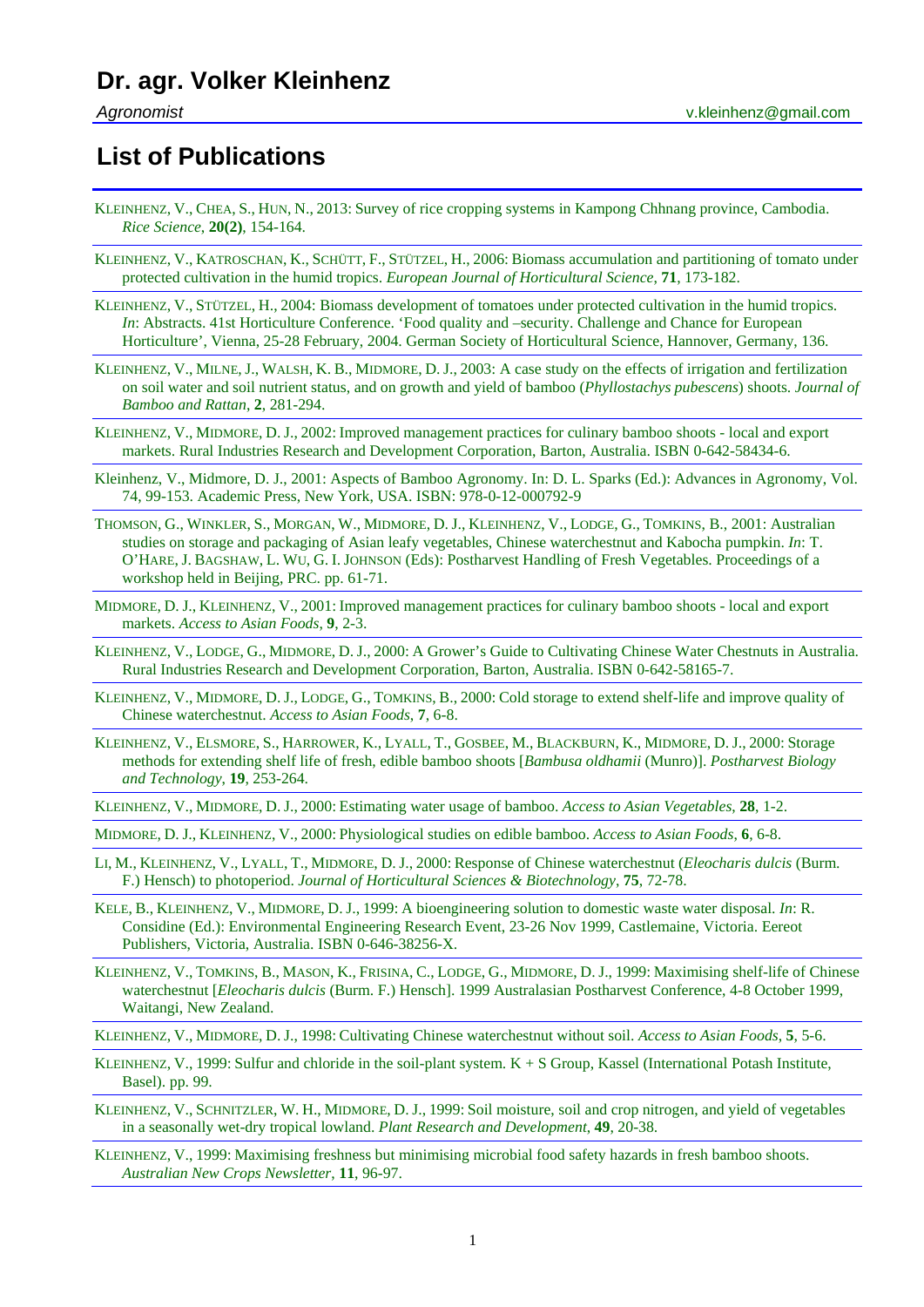## **List of Publications**

- KLEINHENZ, V., CHEA, S., HUN, N., 2013: [Survey of rice cropping systems in Kampong Chhnang province, Cambodia.](https://www.volkerkleinhenz.com/publications/survey-of-rice-cropping-systems-in-kampong-chhnang-province-cambodia/)  *[Rice Science](https://www.volkerkleinhenz.com/publications/survey-of-rice-cropping-systems-in-kampong-chhnang-province-cambodia/)*, **20(2)**, 154-164.
- KLEINHENZ, V., KATROSCHAN, K., SCHÜTT, F., STÜTZEL, H., 2006: [Biomass accumulation and partitioning of tomato under](https://www.volkerkleinhenz.com/publications/biomass-accumulation-and-partitioning-of-tomato-under-protected-cultivation-in-the-humid-tropics/)  protected cultivation in the humid tropics. *[European Journal of Horticultural Science](https://www.volkerkleinhenz.com/publications/biomass-accumulation-and-partitioning-of-tomato-under-protected-cultivation-in-the-humid-tropics/)*, **71**, 173-182.
- KLEINHENZ, V., STÜTZEL, H., 2004: [Biomass development of tomatoes under protected cultivation in the humid tropics.](https://www.volkerkleinhenz.com/publications/biomass-development-of-tomatoes-under-protected-cultivation-in-the-humid-tropics/)  *In*: Abstracts. 41st Horticulture Conference. 'Food quality and –security. Challenge and Chance for European [Horticulture', Vienna, 25-28 February, 2004. German Society of Horticultural Science, Hannover, Germany, 136.](https://www.volkerkleinhenz.com/publications/biomass-development-of-tomatoes-under-protected-cultivation-in-the-humid-tropics/)
- KLEINHENZ, V., MILNE, J., WALSH, K. B., MIDMORE, D. J., 2003: [A case study on the effects of irrigation and fertilization](https://www.volkerkleinhenz.com/publications/a-case-study-on-the-effects-of-irrigation-and-fertilization-on-growth-and-yield-of-bamboo-shoots/)  [on soil water and soil nutrient status, and on growth and yield of bamboo \(](https://www.volkerkleinhenz.com/publications/a-case-study-on-the-effects-of-irrigation-and-fertilization-on-growth-and-yield-of-bamboo-shoots/)*Phyllostachys pubescens*) shoots. *Journal of [Bamboo and Rattan](https://www.volkerkleinhenz.com/publications/a-case-study-on-the-effects-of-irrigation-and-fertilization-on-growth-and-yield-of-bamboo-shoots/)*, **2**, 281-294.
- KLEINHENZ, V., MIDMORE, D. J., 2002: [Improved management practices for culinary bamboo shoots -](https://www.volkerkleinhenz.com/publications/improved-management-practices-for-culinary-bamboo-shoots/) local and export [markets. Rural Industries Research and Development Corporation, Barton, Australia. ISBN 0-642-58434-6.](https://www.volkerkleinhenz.com/publications/improved-management-practices-for-culinary-bamboo-shoots/)
- [Kleinhenz, V., Midmore, D. J., 2001: Aspects of Bamboo Agronomy. In: D. L. Sparks \(Ed.\): Advances in Agronomy, Vol.](https://www.volkerkleinhenz.com/publications/aspects-of-bamboo-agronomy/)  [74, 99-153. Academic Press, New York, USA.](https://www.volkerkleinhenz.com/publications/aspects-of-bamboo-agronomy/) ISBN: 978-0-12-000792-9
- THOMSON, G., WINKLER, S., MORGAN, W., MIDMORE, D. J., KLEINHENZ, V., LODGE, G., [TOMKINS, B., 2001: Australian](https://www.volkerkleinhenz.com/publications/australian-studies-on-storage-and-packaging-of-asian-leafy-vegetables/)  [studies on storage and packaging of Asian leafy vegetables, Chinese waterchestnut and Kabocha pumpkin.](https://www.volkerkleinhenz.com/publications/australian-studies-on-storage-and-packaging-of-asian-leafy-vegetables/) *In*: T. O'HARE, J. BAGSHAW, L. WU, G. I. JOHNSON [\(Eds\): Postharvest Handling of Fresh Vegetables. Proceedings of a](https://www.volkerkleinhenz.com/publications/australian-studies-on-storage-and-packaging-of-asian-leafy-vegetables/)  [workshop held in Beijing, PRC. pp. 61-71.](https://www.volkerkleinhenz.com/publications/australian-studies-on-storage-and-packaging-of-asian-leafy-vegetables/)
- MIDMORE, D. J., KLEINHENZ, V., 2001: [Improved management practices for culinary bamboo shoots -](https://www.volkerkleinhenz.com/publications/improved-management-practices-for-bamboo-shoots/) local and export markets. *[Access to Asian Foods](https://www.volkerkleinhenz.com/publications/improved-management-practices-for-bamboo-shoots/)*, **9**, 2-3.
- KLEINHENZ, V., LODGE, G., MIDMORE, D. J., 2000: [A Grower's Guide to Cultivating Chinese Water Chestnuts in Australia.](https://www.volkerkleinhenz.com/publications/a-growers-guide-to-cultivating-chinese-waterchestnut-in-australia/)  [Rural Industries Research and Development Corporation, Barton, Australia. ISBN 0-642-58165-7.](https://www.volkerkleinhenz.com/publications/a-growers-guide-to-cultivating-chinese-waterchestnut-in-australia/)
- KLEINHENZ, V., MIDMORE, D. J., LODGE, G., TOMKINS, B., 2000: [Cold storage to extend shelf-life and improve quality of](https://www.volkerkleinhenz.com/publications/cold-storage-to-extend-shelf-life-and-improve-quality-of-chinese-waterchestnuts/)  [Chinese waterchestnut.](https://www.volkerkleinhenz.com/publications/cold-storage-to-extend-shelf-life-and-improve-quality-of-chinese-waterchestnuts/) *Access to Asian Foods*, **7**, 6-8.
- KLEINHENZ, V., ELSMORE, S., HARROWER, K., LYALL, T., GOSBEE, M., [BLACKBURN,](https://www.volkerkleinhenz.com/publications/storage-methods-for-extending-shelf-life-of-fresh-edible-bamboo-shoots/) K., MIDMORE, D. J., 2000: Storage [methods for extending shelf life of fresh, edible bamboo shoots \[](https://www.volkerkleinhenz.com/publications/storage-methods-for-extending-shelf-life-of-fresh-edible-bamboo-shoots/)*Bambusa oldhamii* (Munro)]. *Postharvest Biology [and Technology](https://www.volkerkleinhenz.com/publications/storage-methods-for-extending-shelf-life-of-fresh-edible-bamboo-shoots/)*, **19**, 253-264.
- KLEINHENZ, V., MIDMORE, D. J., 2000: [Estimating water usage of bamboo.](https://www.volkerkleinhenz.com/publications/estimating-water-usage-of-bamboo/) *Access to Asian Vegetables*, **28**, 1-2.
- MIDMORE, D. J., KLEINHENZ, V., 2000: [Physiological studies on edible bamboo.](https://www.volkerkleinhenz.com/publications/physiological-studies-on-edible-bamboo/) *Access to Asian Foods*, **6**, 6-8.
- LI, M., KLEINHENZ, V., LYALL, T., MIDMORE, D. J., 2000: [Response of Chinese waterchestnut \(](https://www.volkerkleinhenz.com/publications/response-of-chinese-waterchestnut-to-photoperiod/)*Eleocharis dulcis* (Burm. F.) Hensch) to photoperiod. *[Journal of Horticultural Sciences & Biotechnology](https://www.volkerkleinhenz.com/publications/response-of-chinese-waterchestnut-to-photoperiod/)*, **75**, 72-78.
- KELE, B., KLEINHENZ, V., MIDMORE, D. J., 1999: [A bioengineering solution to domestic waste water disposal.](https://www.volkerkleinhenz.com/publications/a-bio-engineering-solution-to-rural-domestic-wastewater-reuse/) *In*: R. [Considine \(Ed.\): Environmental Engineering Research Event, 23-26 Nov 1999, Castlemaine, Victoria. Eereot](https://www.volkerkleinhenz.com/publications/a-bio-engineering-solution-to-rural-domestic-wastewater-reuse/)  [Publishers, Victoria, Australia. ISBN 0-646-38256-X.](https://www.volkerkleinhenz.com/publications/a-bio-engineering-solution-to-rural-domestic-wastewater-reuse/)
- KLEINHENZ, V., TOMKINS, B., MASON, K., FRISINA, C., LODGE, G., MIDMORE, D. J., 1999: [Maximising shelf-life of Chinese](https://www.volkerkleinhenz.com/publications/maximising-shelf-life-of-chinese-waterchestnut/)  waterchestnut [*Eleocharis dulcis* [\(Burm. F.\) Hensch\]. 1999 Australasian Postharvest Conference, 4-8 October 1999,](https://www.volkerkleinhenz.com/publications/maximising-shelf-life-of-chinese-waterchestnut/)  [Waitangi, New Zealand.](https://www.volkerkleinhenz.com/publications/maximising-shelf-life-of-chinese-waterchestnut/)
- KLEINHENZ, V., MIDMORE, D. J., 1998: [Cultivating Chinese waterchestnut without soil.](https://www.volkerkleinhenz.com/publications/cultivating-chinese-waterchestnut-without-soil/) *Access to Asian Foods*, **5**, 5-6.
- KLEINHENZ, V., 1999: Sulfur and chloride in the soil-plant system.  $K + S$  Group, Kassel (International Potash Institute, [Basel\). pp. 99.](https://www.volkerkleinhenz.com/publications/sulfur-and-chloride-in-the-soil-plant-system/)
- KLEINHENZ, V., SCHNITZLER, W. H., MIDMORE, D. J., 1999: [Soil moisture, soil and crop nitrogen, and yield of vegetables](https://www.volkerkleinhenz.com/publications/soil-moisture-soil-and-crop-nitrogen-and-yield-of-vegetables/)  [in a seasonally wet-dry tropical lowland.](https://www.volkerkleinhenz.com/publications/soil-moisture-soil-and-crop-nitrogen-and-yield-of-vegetables/) *Plant Research and Development*, **49**, 20-38.
- KLEINHENZ, V., 1999: Maximising freshness but minimising [microbial food safety hazards in fresh bamboo shoots.](https://www.volkerkleinhenz.com/publications/maximising-freshness-but-minimising-microbial-food-safety/)  *[Australian New Crops Newsletter](https://www.volkerkleinhenz.com/publications/maximising-freshness-but-minimising-microbial-food-safety/)*, **11**, 96-97.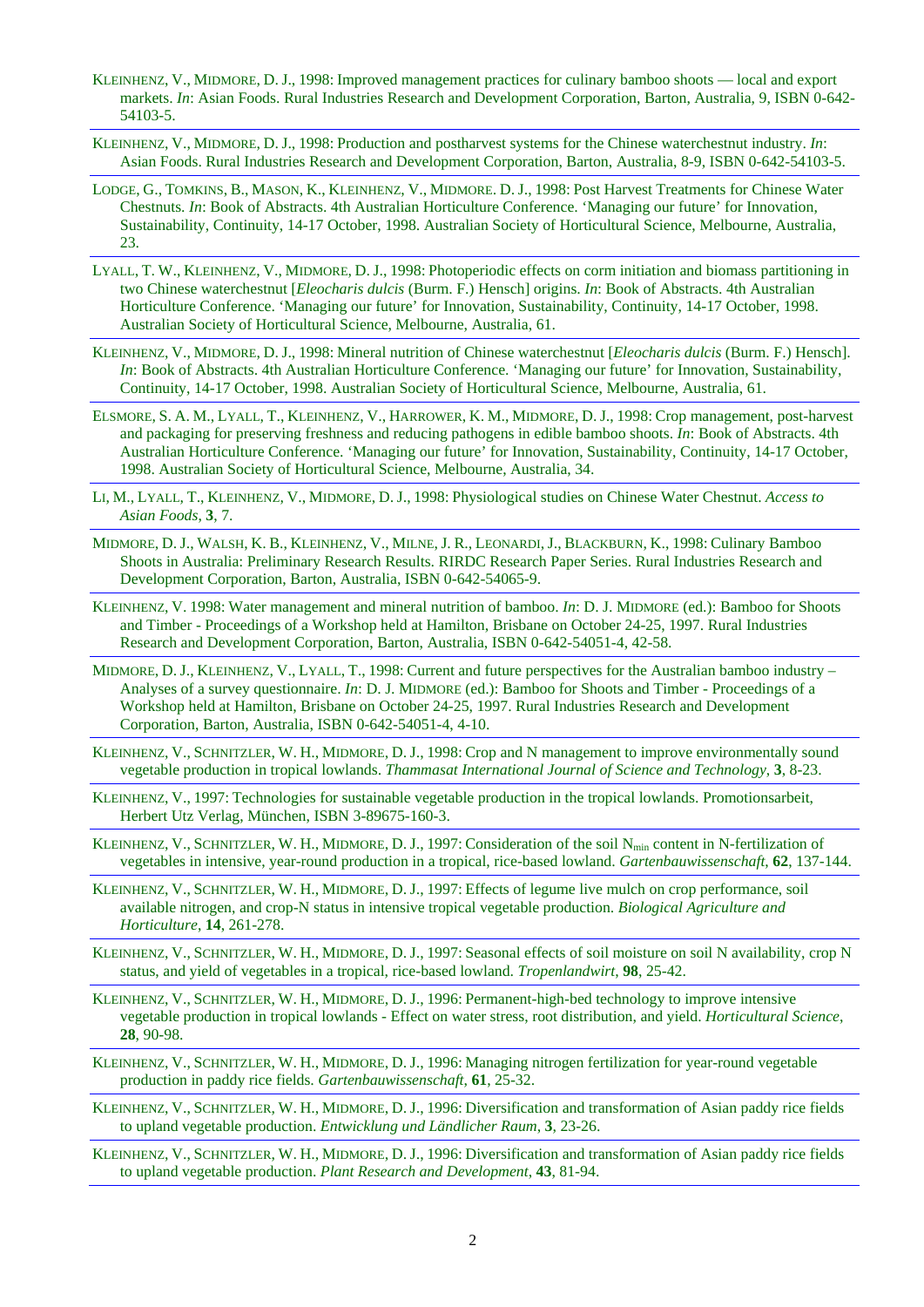- KLEINHENZ, V., MIDMORE, D. J., 1998: Improved management practices for culinary bamboo shoots local and export markets. *In*: Asian Foods. Rural Industries Research and Development Corporation, Barton, Australia, 9, ISBN 0-642- 54103-5.
- KLEINHENZ, V., MIDMORE, D. J., 1998: Production and postharvest systems for the Chinese waterchestnut industry. *In*: Asian Foods. Rural Industries Research and Development Corporation, Barton, Australia, 8-9, ISBN 0-642-54103-5.
- LODGE, G., TOMKINS, B., MASON, K., KLEINHENZ, V., MIDMORE. D. J., 1998: [Post Harvest Treatments for Chinese Water](https://www.volkerkleinhenz.com/publications/post-harvest-treatments-for-chinese-water-chestnuts/)  Chestnuts. *In*[: Book of Abstracts. 4th Australian Horticulture Conference. 'Managing our future' for Innovation,](https://www.volkerkleinhenz.com/publications/post-harvest-treatments-for-chinese-water-chestnuts/)  [Sustainability, Continuity, 14-17 October, 1998. Australian Society of Horticultural Science, Melbourne, Australia,](https://www.volkerkleinhenz.com/publications/post-harvest-treatments-for-chinese-water-chestnuts/)  [23.](https://www.volkerkleinhenz.com/publications/post-harvest-treatments-for-chinese-water-chestnuts/)
- LYALL, T. W., KLEINHENZ, V., MIDMORE, D. J., 1998: [Photoperiodic effects on corm initiation and biomass partitioning in](https://www.volkerkleinhenz.com/publications/photoperiodic-effects-on-corm-initiation-and-biomass-partitioning-in-chinese-waterchestnut/)  two Chinese waterchestnut [*Eleocharis dulcis* (Burm. F.) Hensch] origins. *In*[: Book of Abstracts. 4th Australian](https://www.volkerkleinhenz.com/publications/photoperiodic-effects-on-corm-initiation-and-biomass-partitioning-in-chinese-waterchestnut/)  [Horticulture Conference. 'Managing our future' for Innovation, Sustainability, Continuity, 14-17 October, 1998.](https://www.volkerkleinhenz.com/publications/photoperiodic-effects-on-corm-initiation-and-biomass-partitioning-in-chinese-waterchestnut/)  [Australian Society of Horticultural Science, Melbourne, Australia, 61.](https://www.volkerkleinhenz.com/publications/photoperiodic-effects-on-corm-initiation-and-biomass-partitioning-in-chinese-waterchestnut/)
- KLEINHENZ, V., MIDMORE, D. J., 1998: [Mineral nutrition of Chinese waterchestnut \[](https://www.volkerkleinhenz.com/publications/mineral-nutrition-of-chinese-water-chestnut/)*Eleocharis dulcis* (Burm. F.) Hensch]. *In*[: Book of Abstracts. 4th Australian Horticulture Conference. 'Managing our future' for Innovation, Sustainability,](https://www.volkerkleinhenz.com/publications/mineral-nutrition-of-chinese-water-chestnut/)  [Continuity, 14-17 October, 1998. Australian Society of Horticultural Science, Melbourne, Australia, 61.](https://www.volkerkleinhenz.com/publications/mineral-nutrition-of-chinese-water-chestnut/)
- ELSMORE, S. A. M., LYALL, T., KLEINHENZ, V., HARROWER, K. M., MIDMORE, D. J., 1998: [Crop management, post-harvest](https://www.volkerkleinhenz.com/publications/crop-management-post-harvest-and-packaging-in-edible-bamboo-shoots/)  [and packaging for preserving freshness and reducing pathogens in edible bamboo shoots.](https://www.volkerkleinhenz.com/publications/crop-management-post-harvest-and-packaging-in-edible-bamboo-shoots/) *In*: Book of Abstracts. 4th [Australian Horticulture Conference. 'Managing our future' for Innovation, Sustainability, Continuity, 14-17 October,](https://www.volkerkleinhenz.com/publications/crop-management-post-harvest-and-packaging-in-edible-bamboo-shoots/)  [1998. Australian Society of Horticultural Science, Melbourne, Australia, 34.](https://www.volkerkleinhenz.com/publications/crop-management-post-harvest-and-packaging-in-edible-bamboo-shoots/)
- LI, M., LYALL, T., KLEINHENZ, V., MIDMORE, D. J., 1998: [Physiological studies on Chinese Water Chestnut.](https://www.volkerkleinhenz.com/publications/physiological-studies-on-chinese-water-chestnut/) *Access to [Asian Foods](https://www.volkerkleinhenz.com/publications/physiological-studies-on-chinese-water-chestnut/)*, **3**, 7.
- MIDMORE, D. J., WALSH, K. B., KLEINHENZ, V., MILNE, J. R., LEONARDI, J., BLACKBURN, K., 1998: [Culinary Bamboo](https://www.volkerkleinhenz.com/publications/culinary-bamboo-shoots-in-australia/)  [Shoots in Australia: Preliminary Research Results. RIRDC Research Paper Series. Rural Industries Research and](https://www.volkerkleinhenz.com/publications/culinary-bamboo-shoots-in-australia/)  [Development Corporation, Barton, Australia, ISBN 0-642-54065-9.](https://www.volkerkleinhenz.com/publications/culinary-bamboo-shoots-in-australia/)
- KLEINHENZ, V. 1998: [Water management and mineral nutrition of bamboo.](https://www.volkerkleinhenz.com/publications/water-management-and-mineral-nutrition-of-bamboo/) *In*: D. J. MIDMORE (ed.): Bamboo for Shoots and Timber - [Proceedings of a Workshop held at Hamilton, Brisbane on October 24-25, 1997. Rural Industries](https://www.volkerkleinhenz.com/publications/water-management-and-mineral-nutrition-of-bamboo/)  [Research and Development Corporation, Barton, Australia, ISBN 0-642-54051-4, 42-58.](https://www.volkerkleinhenz.com/publications/water-management-and-mineral-nutrition-of-bamboo/)
- MIDMORE, D. J., KLEINHENZ, V., LYALL, T., 1998: [Current and future perspectives for the Australian bamboo industry –](https://www.volkerkleinhenz.com/publications/current-and-future-perspectives-for-the-australian-bamboo-industry/) Analyses of a survey questionnaire. *In*: D. J. MIDMORE [\(ed.\): Bamboo for Shoots and Timber -](https://www.volkerkleinhenz.com/publications/current-and-future-perspectives-for-the-australian-bamboo-industry/) Proceedings of a [Workshop held at Hamilton, Brisbane on October 24-25, 1997. Rural Industries Research and Development](https://www.volkerkleinhenz.com/publications/current-and-future-perspectives-for-the-australian-bamboo-industry/)  [Corporation, Barton, Australia, ISBN 0-642-54051-4, 4-10.](https://www.volkerkleinhenz.com/publications/current-and-future-perspectives-for-the-australian-bamboo-industry/)
- KLEINHENZ, V., SCHNITZLER, W. H., MIDMORE, D. J., 1998: [Crop and N management to improve environmentally sound](https://www.volkerkleinhenz.com/publications/crop-and-n-management-in-tropical-lowlands/)  vegetable production in tropical lowlands. *[Thammasat International Journal of Science and Technology](https://www.volkerkleinhenz.com/publications/crop-and-n-management-in-tropical-lowlands/)*, **3**, 8-23.
- KLEINHENZ, V., 1997: [Technologies for sustainable vegetable production in the tropical lowlands. Promotionsarbeit,](https://www.volkerkleinhenz.com/publications/technologies-for-sustainable-vegetable-production-in-the-tropical-lowlands/)  [Herbert Utz Verlag, München, ISBN 3-89675-160-3.](https://www.volkerkleinhenz.com/publications/technologies-for-sustainable-vegetable-production-in-the-tropical-lowlands/)
- KLEINHENZ, V., SCHNITZLER, W. H., MIDMORE, D. J., 1997: [Consideration of the soil Nmin](https://www.volkerkleinhenz.com/publications/consideration-of-the-soil-nmin-content-in-n-fertilization/) content in N-fertilization of [vegetables in intensive, year-round production in a tropical, rice-based lowland.](https://www.volkerkleinhenz.com/publications/consideration-of-the-soil-nmin-content-in-n-fertilization/) *Gartenbauwissenschaft*, **62**, 137-144.
- KLEINHENZ, V., SCHNITZLER, W. H., MIDMORE, D. J., 1997: [Effects of legume live mulch on crop performance, soil](https://www.volkerkleinhenz.com/publications/effects-of-legume-live-mulch-in-intensive-tropical-vegetable-production/)  [available nitrogen, and crop-N status in intensive tropical vegetable production.](https://www.volkerkleinhenz.com/publications/effects-of-legume-live-mulch-in-intensive-tropical-vegetable-production/) *Biological Agriculture and [Horticulture](https://www.volkerkleinhenz.com/publications/effects-of-legume-live-mulch-in-intensive-tropical-vegetable-production/)*, **14**, 261-278.
- KLEINHENZ, V., SCHNITZLER, W. H., MIDMORE, D. J., 1997: [Seasonal effects of soil moisture on soil N availability, crop N](https://www.volkerkleinhenz.com/publications/seasonal-effects-of-soil-moisture-on-vegetables-in-a-tropical-lowland/)  [status, and yield of vegetables in a](https://www.volkerkleinhenz.com/publications/seasonal-effects-of-soil-moisture-on-vegetables-in-a-tropical-lowland/) tropical, rice-based lowland. *Tropenlandwirt*, **98**, 25-42.
- KLEINHENZ, V., SCHNITZLER, W. H., MIDMORE, D. J., 1996: [Permanent-high-bed technology to improve intensive](https://www.volkerkleinhenz.com/publications/permanent-high-bed-technology-to-improve-intensive-vegetable-production-in-tropical-lowlands/)  vegetable production in tropical lowlands - [Effect on water stress, root distribution, and yield.](https://www.volkerkleinhenz.com/publications/permanent-high-bed-technology-to-improve-intensive-vegetable-production-in-tropical-lowlands/) *Horticultural Science*, **28**[, 90-98.](https://www.volkerkleinhenz.com/publications/permanent-high-bed-technology-to-improve-intensive-vegetable-production-in-tropical-lowlands/)
- KLEINHENZ, V., SCHNITZLER, W. H., MIDMORE, D. J., 1996: [Managing nitrogen fertilization for year-round vegetable](https://www.volkerkleinhenz.com/publications/managing-nitrogen-fertilization-for-year-round-vegetable-production-in-paddy-rice-fields/)  [production in paddy rice fields.](https://www.volkerkleinhenz.com/publications/managing-nitrogen-fertilization-for-year-round-vegetable-production-in-paddy-rice-fields/) *Gartenbauwissenschaft*, **61**, 25-32.
- KLEINHENZ, V., SCHNITZLER, W. H., MIDMORE, D. J., 1996: [Diversification and transformation of Asian paddy rice fields](https://www.volkerkleinhenz.com/publications/diversification-and-transformation-of-asian-paddy-rice-fields/)  to upland vegetable production. *[Entwicklung und Ländlicher Raum](https://www.volkerkleinhenz.com/publications/diversification-and-transformation-of-asian-paddy-rice-fields/)*, **3**, 23-26.
- KLEINHENZ, V., SCHNITZLER, W. H., MIDMORE, D. J., 1996: [Diversification and transformation of Asian paddy rice fields](https://www.volkerkleinhenz.com/publications/diversification-and-transformation-of-asian-paddy-rice-fields-to-upland-vegetable-production/)  to upland vegetable production. *[Plant Research and Development](https://www.volkerkleinhenz.com/publications/diversification-and-transformation-of-asian-paddy-rice-fields-to-upland-vegetable-production/)*, **43**, 81-94.